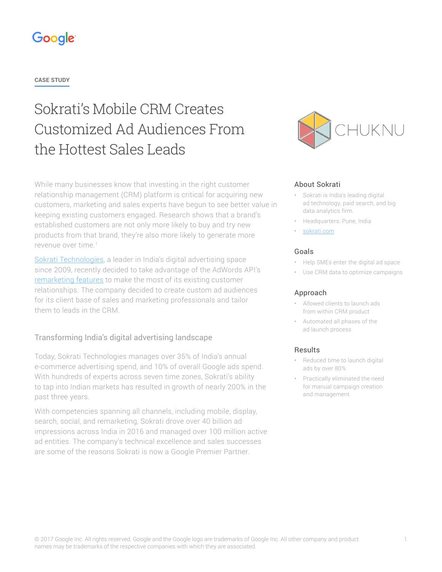## Google

**CASE STUDY**

# Sokrati's Mobile CRM Creates Customized Ad Audiences From the Hottest Sales Leads

While many businesses know that investing in the right customer relationship management (CRM) platform is critical for acquiring new customers, marketing and sales experts have begun to see better value in keeping existing customers engaged. Research shows that a brand's established customers are not only more likely to buy and try new products from that brand, they're also more likely to generate more revenue over time.1

[Sokrati Technologies,](https://sokrati.com/) a leader in India's digital advertising space since 2009, recently decided to take advantage of the AdWords API's [remarketing features](https://developers.google.com/adwords/api/docs/guides/remarketing) to make the most of its existing customer relationships. The company decided to create custom ad audiences for its client base of sales and marketing professionals and tailor them to leads in the CRM.

## Transforming India's digital advertising landscape

Today, Sokrati Technologies manages over 35% of India's annual e-commerce advertising spend, and 10% of overall Google ads spend. With hundreds of experts across seven time zones, Sokrati's ability to tap into Indian markets has resulted in growth of nearly 200% in the past three years.

With competencies spanning all channels, including mobile, display, search, social, and remarketing, Sokrati drove over 40 billion ad impressions across India in 2016 and managed over 100 million active ad entities. The company's technical excellence and sales successes are some of the reasons Sokrati is now a Google Premier Partner.



#### About Sokrati

- Sokrati is India's leading digital ad technology, paid search, and big data analytics firm.
- Headquarters: Pune, India
- [sokrati.com](https://sokrati.com/)

#### Goals

- Help SMEs enter the digital ad space
- Use CRM data to optimize campaigns

#### Approach

- Allowed clients to launch ads from within CRM product
- Automated all phases of the ad launch process

#### Results

- Reduced time to launch digital ads by over 80%
- Practically eliminated the need for manual campaign creation and management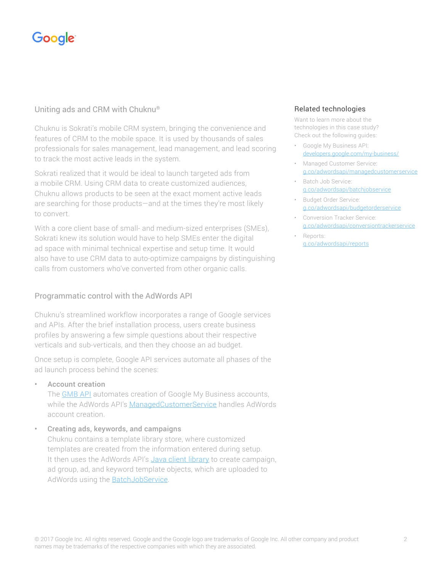## Google

## Uniting ads and CRM with Chuknu®

Chuknu is Sokrati's mobile CRM system, bringing the convenience and features of CRM to the mobile space. It is used by thousands of sales professionals for sales management, lead management, and lead scoring to track the most active leads in the system.

Sokrati realized that it would be ideal to launch targeted ads from a mobile CRM. Using CRM data to create customized audiences, Chuknu allows products to be seen at the exact moment active leads are searching for those products—and at the times they're most likely to convert.

With a core client base of small- and medium-sized enterprises (SMEs), Sokrati knew its solution would have to help SMEs enter the digital ad space with minimal technical expertise and setup time. It would also have to use CRM data to auto-optimize campaigns by distinguishing calls from customers who've converted from other organic calls.

## Programmatic control with the AdWords API

Chuknu's streamlined workflow incorporates a range of Google services and APIs. After the brief installation process, users create business profiles by answering a few simple questions about their respective verticals and sub-verticals, and then they choose an ad budget.

Once setup is complete, Google API services automate all phases of the ad launch process behind the scenes:

### • Account creation

The **GMB API** automates creation of Google My Business accounts, while the AdWords API's [ManagedCustomerService](https://g.co/adwordsapi/managedcustomerservice) handles AdWords account creation.

### • Creating ads, keywords, and campaigns

Chuknu contains a template library store, where customized templates are created from the information entered during setup. It then uses the AdWords API's [Java client library](https://developers.google.com/adwords/api/docs/clientlibraries) to create campaign, ad group, ad, and keyword template objects, which are uploaded to AdWords using the **BatchJobService**.

### Related technologies

Want to learn more about the technologies in this case study? Check out the following guides:

- Google My Business API: [developers.google.com/my-business/](http://developers.google.com/my-business/)
- Managed Customer Service: [g.co/adwordsapi/managedcustomerservice](http://g.co/adwordsapi/managedcustomerservice)
- Batch Job Service: [g.co/adwordsapi/batchjobservice](http://g.co/adwordsapi/batchjobservice)
- Budget Order Service: [g.co/adwordsapi/budgetorderservice](http://g.co/adwordsapi/budgetorderservice)
- Conversion Tracker Service: [g.co/adwordsapi/conversiontrackerservice](http://g.co/adwordsapi/conversiontrackerservice)
	- Reports: [g.co/adwordsapi/reports](http://g.co/adwordsapi/reports)